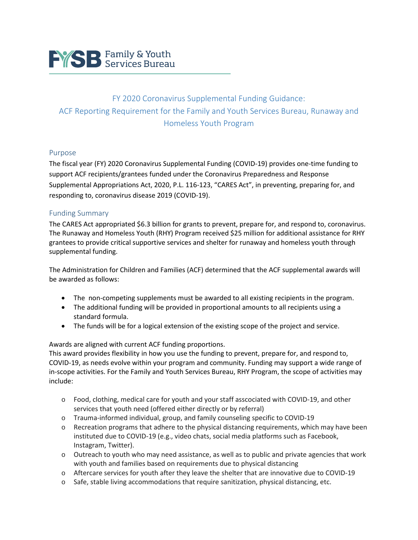

# FY 2020 Coronavirus Supplemental Funding Guidance: ACF Reporting Requirement for the Family and Youth Services Bureau, Runaway and Homeless Youth Program

#### Purpose

The fiscal year (FY) 2020 Coronavirus Supplemental Funding (COVID-19) provides one-time funding to support ACF recipients/grantees funded under the Coronavirus Preparedness and Response Supplemental Appropriations Act, 2020, P.L. 116-123, "CARES Act", in preventing, preparing for, and responding to, coronavirus disease 2019 (COVID-19).

#### Funding Summary

The CARES Act appropriated \$6.3 billion for grants to prevent, prepare for, and respond to, coronavirus. The Runaway and Homeless Youth (RHY) Program received \$25 million for additional assistance for RHY grantees to provide critical supportive services and shelter for runaway and homeless youth through supplemental funding.

The Administration for Children and Families (ACF) determined that the ACF supplemental awards will be awarded as follows:

- The non-competing supplements must be awarded to all existing recipients in the program.
- The additional funding will be provided in proportional amounts to all recipients using a standard formula.
- The funds will be for a logical extension of the existing scope of the project and service.

#### Awards are aligned with current ACF funding proportions.

This award provides flexibility in how you use the funding to prevent, prepare for, and respond to, COVID-19, as needs evolve within your program and community. Funding may support a wide range of in-scope activities. For the Family and Youth Services Bureau, RHY Program, the scope of activities may include:

- o Food, clothing, medical care for youth and your staff asscociated with COVID-19, and other services that youth need (offered either directly or by referral)
- o Trauma-informed individual, group, and family counseling specific to COVID-19
- o Recreation programs that adhere to the physical distancing requirements, which may have been instituted due to COVID-19 (e.g., video chats, social media platforms such as Facebook, Instagram, Twitter).
- $\circ$  Outreach to youth who may need assistance, as well as to public and private agencies that work with youth and families based on requirements due to physical distancing
- o Aftercare services for youth after they leave the shelter that are innovative due to COVID-19
- $\circ$  Safe, stable living accommodations that require sanitization, physical distancing, etc.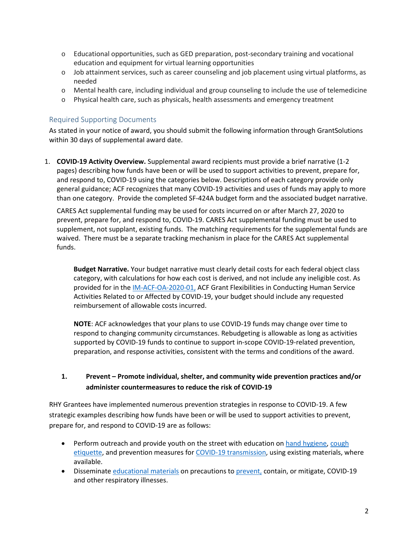- $\circ$  Educational opportunities, such as GED preparation, post-secondary training and vocational education and equipment for virtual learning opportunities
- $\circ$  Job attainment services, such as career counseling and job placement using virtual platforms, as needed
- o Mental health care, including individual and group counseling to include the use of telemedicine
- o Physical health care, such as physicals, health assessments and emergency treatment

## Required Supporting Documents

As stated in your notice of award, you should submit the following information through GrantSolutions within 30 days of supplemental award date.

1. **COVID-19 Activity Overview.** Supplemental award recipients must provide a brief narrative (1-2 pages) describing how funds have been or will be used to support activities to prevent, prepare for, and respond to, COVID-19 using the categories below. Descriptions of each category provide only general guidance; ACF recognizes that many COVID-19 activities and uses of funds may apply to more than one category. Provide the completed SF-424A budget form and the associated budget narrative.

CARES Act supplemental funding may be used for costs incurred on or after March 27, 2020 to prevent, prepare for, and respond to, COVID-19. CARES Act supplemental funding must be used to supplement, not supplant, existing funds. The matching requirements for the supplemental funds are waived. There must be a separate tracking mechanism in place for the CARES Act supplemental funds.

**Budget Narrative.** Your budget narrative must clearly detail costs for each federal object class category, with calculations for how each cost is derived, and not include any ineligible cost. As provided for in the [IM-ACF-OA-2020-01,](https://www.acf.hhs.gov/grants-funding/acf-grant-recipient-covid-19) ACF Grant Flexibilities in Conducting Human Service Activities Related to or Affected by COVID-19, your budget should include any requested reimbursement of allowable costs incurred.

**NOTE**: ACF acknowledges that your plans to use COVID-19 funds may change over time to respond to changing community circumstances. Rebudgeting is allowable as long as activities supported by COVID-19 funds to continue to support in-scope COVID-19-related prevention, preparation, and response activities, consistent with the terms and conditions of the award.

## **1. Prevent – Promote individual, shelter, and community wide prevention practices and/or administer countermeasures to reduce the risk of COVID-19**

RHY Grantees have implemented numerous prevention strategies in response to COVID-19. A few strategic examples describing how funds have been or will be used to support activities to prevent, prepare for, and respond to COVID-19 are as follows:

- Perform outreach and provide youth on the street with education o[n hand hygiene,](https://www.cdc.gov/handwashing/index.html) [cough](https://www.cdc.gov/oralhealth/infectioncontrol/faqs/respiratory-hygiene.html) [etiquette,](https://www.cdc.gov/oralhealth/infectioncontrol/faqs/respiratory-hygiene.html) and prevention measures for [COVID-19 transmission,](https://www.cdc.gov/coronavirus/2019-ncov/communication/factsheets.html) using existing materials, where available.
- Disseminate [educational](https://www.cdc.gov/coronavirus/2019-ncov/communication/index.html) materials on precautions to [prevent,](https://www.cdc.gov/nonpharmaceutical-interventions/index.html) contain, or mitigate, COVID-19 and other respiratory illnesses.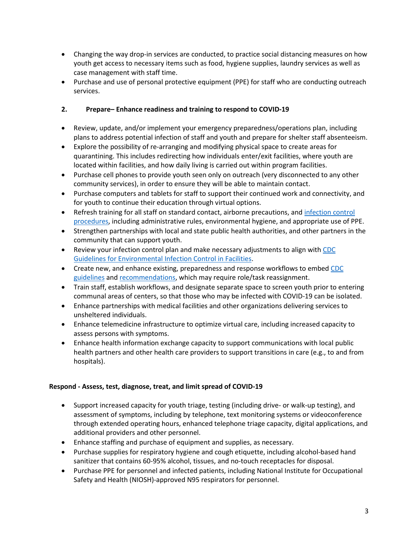- Changing the way drop-in services are conducted, to practice social distancing measures on how youth get access to necessary items such as food, hygiene supplies, laundry services as well as case management with staff time.
- Purchase and use of personal protective equipment (PPE) for staff who are conducting outreach services.

## **2. Prepare– Enhance readiness and training to respond to COVID-19**

- Review, update, and/or implement your emergency preparedness/operations plan, including plans to address potential infection of staff and youth and prepare for shelter staff absenteeism.
- Explore the possibility of re-arranging and modifying physical space to create areas for quarantining. This includes redirecting how individuals enter/exit facilities, where youth are located within facilities, and how daily living is carried out within program facilities.
- Purchase cell phones to provide youth seen only on outreach (very disconnected to any other community services), in order to ensure they will be able to maintain contact.
- Purchase computers and tablets for staff to support their continued work and connectivity, and for youth to continue their education through virtual options.
- Refresh training for all staff on standard contact, airborne precautions, an[d infection control](https://www.cdc.gov/coronavirus/2019-ncov/infection-control/control-recommendations.html?CDC_AA_refVal=https%3A%2F%2Fwww.cdc.gov%2Fcoronavirus%2F2019-ncov%2Fhcp%2Finfection-control.html)  [procedures,](https://www.cdc.gov/coronavirus/2019-ncov/infection-control/control-recommendations.html?CDC_AA_refVal=https%3A%2F%2Fwww.cdc.gov%2Fcoronavirus%2F2019-ncov%2Fhcp%2Finfection-control.html) including administrative rules, environmental hygiene, and appropriate use of PPE.
- Strengthen partnerships with local and state public health authorities, and other partners in the community that can support youth.
- Review your infection control plan and make necessary adjustments to align with [CDC](https://www.cdc.gov/mmwr/PDF/rr/rr5210.pdf)  [Guidelines for Environmental Infection Control in Facilities.](https://www.cdc.gov/mmwr/PDF/rr/rr5210.pdf)
- Create new, and enhance existing, preparedness and response workflows to embe[d CDC](https://www.cdc.gov/coronavirus/2019-ncov/healthcare-facilities/guidance-hcf.html)  [guidelines](https://www.cdc.gov/coronavirus/2019-ncov/healthcare-facilities/guidance-hcf.html) and [recommendations,](https://www.cdc.gov/coronavirus/2019-ncov/healthcare-facilities/steps-to-prepare.html) which may require role/task reassignment.
- Train staff, establish workflows, and designate separate space to screen youth prior to entering communal areas of centers, so that those who may be infected with COVID-19 can be isolated.
- Enhance partnerships with medical facilities and other organizations delivering services to unsheltered individuals.
- Enhance telemedicine infrastructure to optimize virtual care, including increased capacity to assess persons with symptoms.
- Enhance health information exchange capacity to support communications with local public health partners and other health care providers to support transitions in care (e.g., to and from hospitals).

#### **Respond - Assess, test, diagnose, treat, and limit spread of COVID-19**

- Support increased capacity for youth triage, testing (including drive- or walk-up testing), and assessment of symptoms, including by telephone, text monitoring systems or videoconference through extended operating hours, enhanced telephone triage capacity, digital applications, and additional providers and other personnel.
- Enhance staffing and purchase of equipment and supplies, as necessary.
- Purchase supplies for respiratory hygiene and cough etiquette, including alcohol-based hand sanitizer that contains 60-95% alcohol, tissues, and no-touch receptacles for disposal.
- Purchase PPE for personnel and infected patients, including National Institute for Occupational Safety and Health (NIOSH)-approved N95 respirators for personnel.